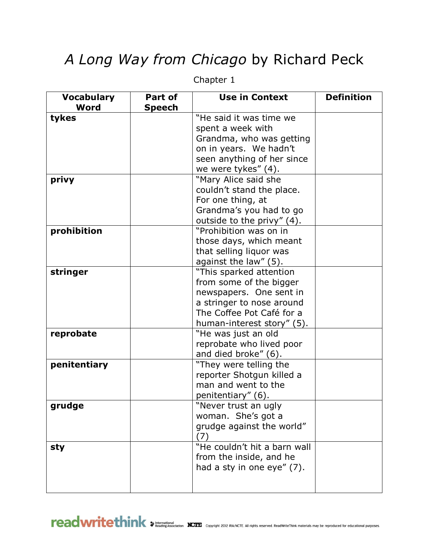## *A Long Way from Chicago* by Richard Peck

| <b>Vocabulary</b> | Part of       | <b>Use in Context</b>        | <b>Definition</b> |
|-------------------|---------------|------------------------------|-------------------|
| Word              | <b>Speech</b> |                              |                   |
| tykes             |               | "He said it was time we      |                   |
|                   |               | spent a week with            |                   |
|                   |               | Grandma, who was getting     |                   |
|                   |               | on in years. We hadn't       |                   |
|                   |               | seen anything of her since   |                   |
|                   |               | we were tykes" (4).          |                   |
| privy             |               | "Mary Alice said she         |                   |
|                   |               | couldn't stand the place.    |                   |
|                   |               | For one thing, at            |                   |
|                   |               | Grandma's you had to go      |                   |
|                   |               | outside to the privy" (4).   |                   |
| prohibition       |               | "Prohibition was on in       |                   |
|                   |               | those days, which meant      |                   |
|                   |               | that selling liquor was      |                   |
|                   |               | against the law" (5).        |                   |
| stringer          |               | "This sparked attention      |                   |
|                   |               | from some of the bigger      |                   |
|                   |               | newspapers. One sent in      |                   |
|                   |               | a stringer to nose around    |                   |
|                   |               | The Coffee Pot Café for a    |                   |
|                   |               | human-interest story" (5).   |                   |
| reprobate         |               | "He was just an old          |                   |
|                   |               | reprobate who lived poor     |                   |
|                   |               | and died broke" (6).         |                   |
| penitentiary      |               | "They were telling the       |                   |
|                   |               | reporter Shotgun killed a    |                   |
|                   |               | man and went to the          |                   |
|                   |               | penitentiary" (6).           |                   |
| gruage            |               | "Never trust an ugly         |                   |
|                   |               | woman. She's got a           |                   |
|                   |               | grudge against the world"    |                   |
|                   |               | (7)                          |                   |
| sty               |               | "He couldn't hit a barn wall |                   |
|                   |               | from the inside, and he      |                   |
|                   |               | had a sty in one eye" (7).   |                   |
|                   |               |                              |                   |
|                   |               |                              |                   |

Chapter 1